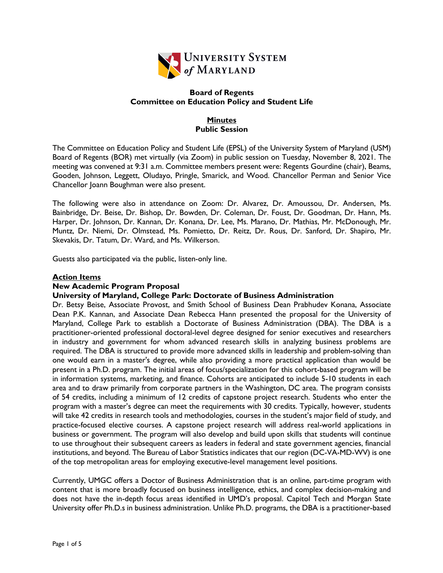

## **Board of Regents Committee on Education Policy and Student Life**

## **Minutes Public Session**

The Committee on Education Policy and Student Life (EPSL) of the University System of Maryland (USM) Board of Regents (BOR) met virtually (via Zoom) in public session on Tuesday, November 8, 2021. The meeting was convened at 9:31 a.m. Committee members present were: Regents Gourdine (chair), Beams, Gooden, Johnson, Leggett, Oludayo, Pringle, Smarick, and Wood. Chancellor Perman and Senior Vice Chancellor Joann Boughman were also present.

The following were also in attendance on Zoom: Dr. Alvarez, Dr. Amoussou, Dr. Andersen, Ms. Bainbridge, Dr. Beise, Dr. Bishop, Dr. Bowden, Dr. Coleman, Dr. Foust, Dr. Goodman, Dr. Hann, Ms. Harper, Dr. Johnson, Dr. Kannan, Dr. Konana, Dr. Lee, Ms. Marano, Dr. Mathias, Mr. McDonough, Mr. Muntz, Dr. Niemi, Dr. Olmstead, Ms. Pomietto, Dr. Reitz, Dr. Rous, Dr. Sanford, Dr. Shapiro, Mr. Skevakis, Dr. Tatum, Dr. Ward, and Ms. Wilkerson.

Guests also participated via the public, listen-only line.

### **Action Items**

### **New Academic Program Proposal**

### **University of Maryland, College Park: Doctorate of Business Administration**

Dr. Betsy Beise, Associate Provost, and Smith School of Business Dean Prabhudev Konana, Associate Dean P.K. Kannan, and Associate Dean Rebecca Hann presented the proposal for the University of Maryland, College Park to establish a Doctorate of Business Administration (DBA). The DBA is a practitioner-oriented professional doctoral-level degree designed for senior executives and researchers in industry and government for whom advanced research skills in analyzing business problems are required. The DBA is structured to provide more advanced skills in leadership and problem-solving than one would earn in a master's degree, while also providing a more practical application than would be present in a Ph.D. program. The initial areas of focus/specialization for this cohort-based program will be in information systems, marketing, and finance. Cohorts are anticipated to include 5-10 students in each area and to draw primarily from corporate partners in the Washington, DC area. The program consists of 54 credits, including a minimum of 12 credits of capstone project research. Students who enter the program with a master's degree can meet the requirements with 30 credits. Typically, however, students will take 42 credits in research tools and methodologies, courses in the student's major field of study, and practice-focused elective courses. A capstone project research will address real-world applications in business or government. The program will also develop and build upon skills that students will continue to use throughout their subsequent careers as leaders in federal and state government agencies, financial institutions, and beyond. The Bureau of Labor Statistics indicates that our region (DC-VA-MD-WV) is one of the top metropolitan areas for employing executive-level management level positions.

Currently, UMGC offers a Doctor of Business Administration that is an online, part-time program with content that is more broadly focused on business intelligence, ethics, and complex decision-making and does not have the in-depth focus areas identified in UMD's proposal. Capitol Tech and Morgan State University offer Ph.D.s in business administration. Unlike Ph.D. programs, the DBA is a practitioner-based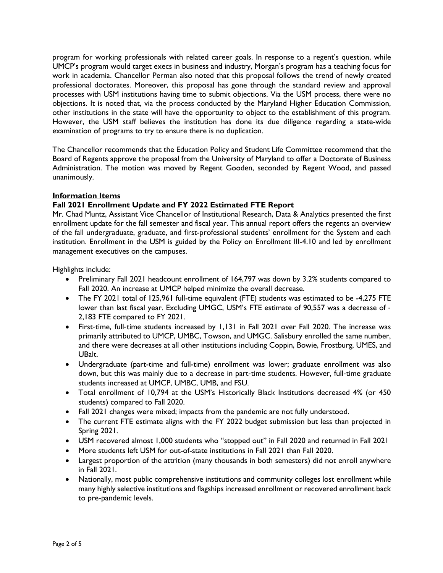program for working professionals with related career goals. In response to a regent's question, while UMCP's program would target execs in business and industry, Morgan's program has a teaching focus for work in academia. Chancellor Perman also noted that this proposal follows the trend of newly created professional doctorates. Moreover, this proposal has gone through the standard review and approval processes with USM institutions having time to submit objections. Via the USM process, there were no objections. It is noted that, via the process conducted by the Maryland Higher Education Commission, other institutions in the state will have the opportunity to object to the establishment of this program. However, the USM staff believes the institution has done its due diligence regarding a state-wide examination of programs to try to ensure there is no duplication.

The Chancellor recommends that the Education Policy and Student Life Committee recommend that the Board of Regents approve the proposal from the University of Maryland to offer a Doctorate of Business Administration. The motion was moved by Regent Gooden, seconded by Regent Wood, and passed unanimously.

## **Information Items**

# **Fall 2021 Enrollment Update and FY 2022 Estimated FTE Report**

Mr. Chad Muntz, Assistant Vice Chancellor of Institutional Research, Data & Analytics presented the first enrollment update for the fall semester and fiscal year. This annual report offers the regents an overview of the fall undergraduate, graduate, and first-professional students' enrollment for the System and each institution. Enrollment in the USM is guided by the Policy on Enrollment III-4.10 and led by enrollment management executives on the campuses.

Highlights include:

- Preliminary Fall 2021 headcount enrollment of 164,797 was down by 3.2% students compared to Fall 2020. An increase at UMCP helped minimize the overall decrease.
- The FY 2021 total of 125,961 full-time equivalent (FTE) students was estimated to be -4,275 FTE lower than last fiscal year. Excluding UMGC, USM's FTE estimate of 90,557 was a decrease of - 2,183 FTE compared to FY 2021.
- First-time, full-time students increased by 1,131 in Fall 2021 over Fall 2020. The increase was primarily attributed to UMCP, UMBC, Towson, and UMGC. Salisbury enrolled the same number, and there were decreases at all other institutions including Coppin, Bowie, Frostburg, UMES, and UBalt.
- Undergraduate (part-time and full-time) enrollment was lower; graduate enrollment was also down, but this was mainly due to a decrease in part-time students. However, full-time graduate students increased at UMCP, UMBC, UMB, and FSU.
- Total enrollment of 10,794 at the USM's Historically Black Institutions decreased 4% (or 450 students) compared to Fall 2020.
- Fall 2021 changes were mixed; impacts from the pandemic are not fully understood.
- The current FTE estimate aligns with the FY 2022 budget submission but less than projected in Spring 2021.
- USM recovered almost 1,000 students who "stopped out" in Fall 2020 and returned in Fall 2021
- More students left USM for out-of-state institutions in Fall 2021 than Fall 2020.
- Largest proportion of the attrition (many thousands in both semesters) did not enroll anywhere in Fall 2021.
- Nationally, most public comprehensive institutions and community colleges lost enrollment while many highly selective institutions and flagships increased enrollment or recovered enrollment back to pre-pandemic levels.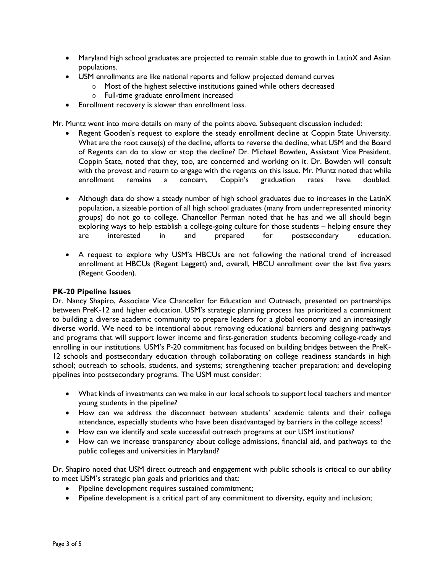- Maryland high school graduates are projected to remain stable due to growth in LatinX and Asian populations.
- USM enrollments are like national reports and follow projected demand curves
	- o Most of the highest selective institutions gained while others decreased
	- o Full-time graduate enrollment increased
- Enrollment recovery is slower than enrollment loss.

Mr. Muntz went into more details on many of the points above. Subsequent discussion included:

- Regent Gooden's request to explore the steady enrollment decline at Coppin State University. What are the root cause(s) of the decline, efforts to reverse the decline, what USM and the Board of Regents can do to slow or stop the decline? Dr. Michael Bowden, Assistant Vice President, Coppin State, noted that they, too, are concerned and working on it. Dr. Bowden will consult with the provost and return to engage with the regents on this issue. Mr. Muntz noted that while enrollment remains a concern, Coppin's graduation rates have doubled.
- Although data do show a steady number of high school graduates due to increases in the LatinX population, a sizeable portion of all high school graduates (many from underrepresented minority groups) do not go to college. Chancellor Perman noted that he has and we all should begin exploring ways to help establish a college-going culture for those students – helping ensure they are interested in and prepared for postsecondary education.
- A request to explore why USM's HBCUs are not following the national trend of increased enrollment at HBCUs (Regent Leggett) and, overall, HBCU enrollment over the last five years (Regent Gooden).

### **PK-20 Pipeline Issues**

Dr. Nancy Shapiro, Associate Vice Chancellor for Education and Outreach, presented on partnerships between PreK-12 and higher education. USM's strategic planning process has prioritized a commitment to building a diverse academic community to prepare leaders for a global economy and an increasingly diverse world. We need to be intentional about removing educational barriers and designing pathways and programs that will support lower income and first-generation students becoming college-ready and enrolling in our institutions. USM's P-20 commitment has focused on building bridges between the PreK-12 schools and postsecondary education through collaborating on college readiness standards in high school; outreach to schools, students, and systems; strengthening teacher preparation; and developing pipelines into postsecondary programs. The USM must consider:

- What kinds of investments can we make in our local schools to support local teachers and mentor young students in the pipeline?
- How can we address the disconnect between students' academic talents and their college attendance, especially students who have been disadvantaged by barriers in the college access?
- How can we identify and scale successful outreach programs at our USM institutions?
- How can we increase transparency about college admissions, financial aid, and pathways to the public colleges and universities in Maryland?

Dr. Shapiro noted that USM direct outreach and engagement with public schools is critical to our ability to meet USM's strategic plan goals and priorities and that:

- Pipeline development requires sustained commitment;
- Pipeline development is a critical part of any commitment to diversity, equity and inclusion;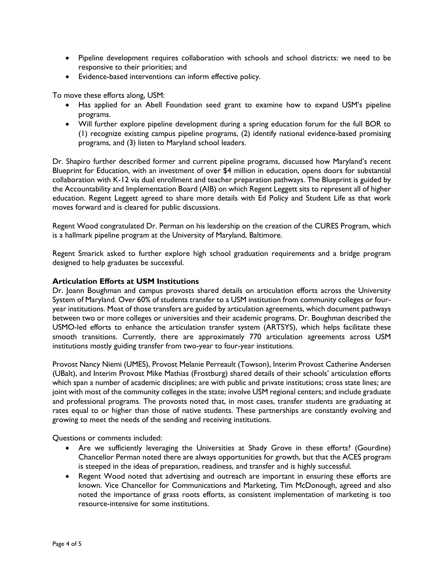- Pipeline development requires collaboration with schools and school districts: we need to be responsive to their priorities; and
- Evidence-based interventions can inform effective policy.

To move these efforts along, USM:

- Has applied for an Abell Foundation seed grant to examine how to expand USM's pipeline programs.
- Will further explore pipeline development during a spring education forum for the full BOR to (1) recognize existing campus pipeline programs, (2) identify national evidence-based promising programs, and (3) listen to Maryland school leaders.

Dr. Shapiro further described former and current pipeline programs, discussed how Maryland's recent Blueprint for Education, with an investment of over \$4 million in education, opens doors for substantial collaboration with K-12 via dual enrollment and teacher preparation pathways. The Blueprint is guided by the Accountability and Implementation Board (AIB) on which Regent Leggett sits to represent all of higher education. Regent Leggett agreed to share more details with Ed Policy and Student Life as that work moves forward and is cleared for public discussions.

Regent Wood congratulated Dr. Perman on his leadership on the creation of the CURES Program, which is a hallmark pipeline program at the University of Maryland, Baltimore.

Regent Smarick asked to further explore high school graduation requirements and a bridge program designed to help graduates be successful.

### **Articulation Efforts at USM Institutions**

Dr. Joann Boughman and campus provosts shared details on articulation efforts across the University System of Maryland. Over 60% of students transfer to a USM institution from community colleges or fouryear institutions. Most of those transfers are guided by articulation agreements, which document pathways between two or more colleges or universities and their academic programs. Dr. Boughman described the USMO-led efforts to enhance the articulation transfer system (ARTSYS), which helps facilitate these smooth transitions. Currently, there are approximately 770 articulation agreements across USM institutions mostly guiding transfer from two-year to four-year institutions.

Provost Nancy Niemi (UMES), Provost Melanie Perreault (Towson), Interim Provost Catherine Andersen (UBalt), and Interim Provost Mike Mathias (Frostburg) shared details of their schools' articulation efforts which span a number of academic disciplines; are with public and private institutions; cross state lines; are joint with most of the community colleges in the state; involve USM regional centers; and include graduate and professional programs. The provosts noted that, in most cases, transfer students are graduating at rates equal to or higher than those of native students. These partnerships are constantly evolving and growing to meet the needs of the sending and receiving institutions.

Questions or comments included:

- Are we sufficiently leveraging the Universities at Shady Grove in these efforts? (Gourdine) Chancellor Perman noted there are always opportunities for growth, but that the ACES program is steeped in the ideas of preparation, readiness, and transfer and is highly successful.
- Regent Wood noted that advertising and outreach are important in ensuring these efforts are known. Vice Chancellor for Communications and Marketing, Tim McDonough, agreed and also noted the importance of grass roots efforts, as consistent implementation of marketing is too resource-intensive for some institutions.